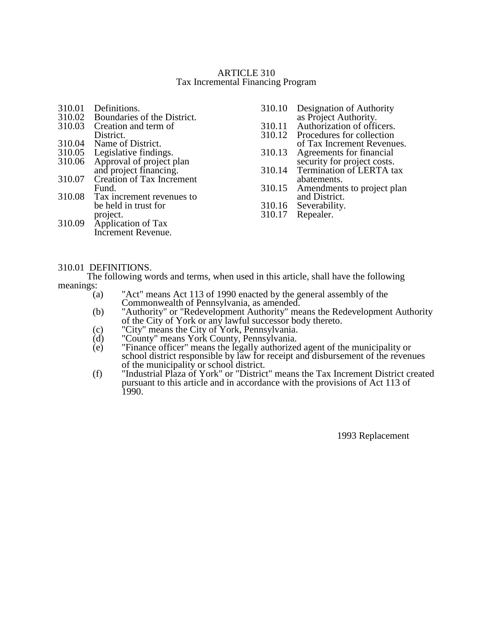## ARTICLE 310 Tax Incremental Financing Program

| 310.01 | Definitions.                                              | 310.10 | Designation of Authority                                   |
|--------|-----------------------------------------------------------|--------|------------------------------------------------------------|
|        | 310.02 Boundaries of the District.                        |        |                                                            |
|        | 310.03 Creation and term of                               |        | as Project Authority.<br>310.11 Authorization of officers. |
|        | District.                                                 |        | 310.12 Procedures for collection                           |
|        | 310.04 Name of District.                                  |        | of Tax Increment Revenues.                                 |
|        | 310.05 Legislative findings.                              |        | 310.13 Agreements for financial                            |
|        |                                                           |        | security for project costs.                                |
|        | 310.06 Approval of project plan<br>and project financing. |        | 310.14 Termination of LERTA tax                            |
| 310.07 | Creation of Tax Increment                                 |        | abatements.                                                |
|        | Fund.                                                     |        | 310.15 Amendments to project plan                          |
|        | 310.08 Tax increment revenues to                          |        | and District.                                              |
|        | be held in trust for                                      |        | 310.16 Severability.                                       |
|        | project.                                                  | 310.17 | Repealer.                                                  |
|        | 310.09 Application of Tax                                 |        |                                                            |
|        | Increment Revenue.                                        |        |                                                            |

## 310.01 DEFINITIONS.

The following words and terms, when used in this article, shall have the following meanings:

- (a) "Act" means Act 113 of 1990 enacted by the general assembly of the Commonwealth of Pennsylvania, as amended.
- (b) "Authority" or "Redevelopment Authority" means the Redevelopment Authority of the City of York or any lawful successor body thereto.
- (c) "City" means the City of York, Pennsylvania.
- (d) "County" means York County, Pennsylvania.
- (e) "Finance officer" means the legally authorized agent of the municipality or school district responsible by law for receipt and disbursement of the revenues of the municipality or school district.
- (f) "Industrial Plaza of York" or "District" means the Tax Increment District created pursuant to this article and in accordance with the provisions of Act 113 of 1990.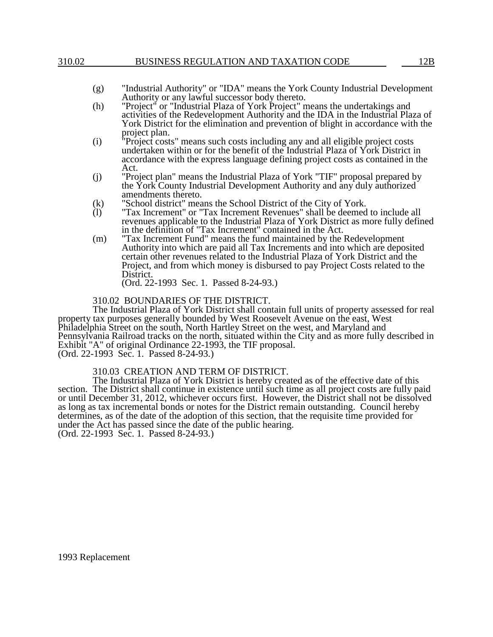## 310.02 BUSINESS REGULATION AND TAXATION CODE 12B

- (g) "Industrial Authority" or "IDA" means the York County Industrial Development Authority or any lawful successor body thereto.
- (h) "Project" or "Industrial Plaza of York Project" means the undertakings and activities of the Redevelopment Authority and the IDA in the Industrial Plaza of York District for the elimination and prevention of blight in accordance with the project plan.
- (i) "Project costs" means such costs including any and all eligible project costs undertaken within or for the benefit of the Industrial Plaza of York District in accordance with the express language defining project costs as contained in the Act.
- (j) "Project plan" means the Industrial Plaza of York "TIF" proposal prepared by the York County Industrial Development Authority and any duly authorized amendments thereto.
- (k) "School district" means the School District of the City of York.
- (l) "Tax Increment" or "Tax Increment Revenues" shall be deemed to include all revenues applicable to the Industrial Plaza of York District as more fully defined in the definition of "Tax Increment" contained in the Act.
- (m) "Tax Increment Fund" means the fund maintained by the Redevelopment Authority into which are paid all Tax Increments and into which are deposited certain other revenues related to the Industrial Plaza of York District and the Project, and from which money is disbursed to pay Project Costs related to the District.

(Ord. 22-1993 Sec. 1. Passed 8-24-93.)

# 310.02 BOUNDARIES OF THE DISTRICT.

The Industrial Plaza of York District shall contain full units of property assessed for real property tax purposes generally bounded by West Roosevelt Avenue on the east, West Philadelphia Street on the south, North Hartley Street on the west, and Maryland and Pennsylvania Railroad tracks on the north, situated within the City and as more fully described in Exhibit "A" of original Ordinance 22-1993, the TIF proposal. (Ord. 22-1993 Sec. 1. Passed 8-24-93.)

## 310.03 CREATION AND TERM OF DISTRICT.

The Industrial Plaza of York District is hereby created as of the effective date of this section. The District shall continue in existence until such time as all project costs are fully paid or until December 31, 2012, whichever occurs first. However, the District shall not be dissolved as long as tax incremental bonds or notes for the District remain outstanding. Council hereby determines, as of the date of the adoption of this section, that the requisite time provided for under the Act has passed since the date of the public hearing. (Ord. 22-1993 Sec. 1. Passed 8-24-93.)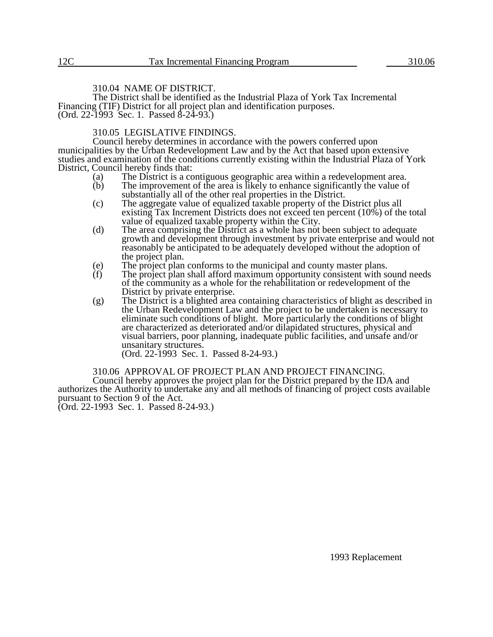# 310.04 NAME OF DISTRICT.

The District shall be identified as the Industrial Plaza of York Tax Incremental Financing (TIF) District for all project plan and identification purposes. (Ord. 22-1993 Sec. 1. Passed 8-24-93.)

## 310.05 LEGISLATIVE FINDINGS.

Council hereby determines in accordance with the powers conferred upon municipalities by the Urban Redevelopment Law and by the Act that based upon extensive studies and examination of the conditions currently existing within the Industrial Plaza of York District, Council hereby finds that:<br>(a) The District is a co

- (a) The District is a contiguous geographic area within a redevelopment area.<br>
(b) The improvement of the area is likely to enhance significantly the value of
- The improvement of the area is likely to enhance significantly the value of substantially all of the other real properties in the District.
- (c) The aggregate value of equalized taxable property of the District plus all existing Tax Increment Districts does not exceed ten percent (10%) of the total value of equalized taxable property within the City.
- (d) The area comprising the District as a whole has not been subject to adequate growth and development through investment by private enterprise and would not reasonably be anticipated to be adequately developed without the adoption of the project plan.
- (e) The project plan conforms to the municipal and county master plans.<br>(f) The project plan shall afford maximum opportunity consistent with so
- The project plan shall afford maximum opportunity consistent with sound needs of the community as a whole for the rehabilitation or redevelopment of the District by private enterprise.
- (g) The District is a blighted area containing characteristics of blight as described in the Urban Redevelopment Law and the project to be undertaken is necessary to eliminate such conditions of blight. More particularly the conditions of blight are characterized as deteriorated and/or dilapidated structures, physical and visual barriers, poor planning, inadequate public facilities, and unsafe and/or unsanitary structures.

(Ord. 22-1993 Sec. 1. Passed 8-24-93.)

#### 310.06 APPROVAL OF PROJECT PLAN AND PROJECT FINANCING.

Council hereby approves the project plan for the District prepared by the IDA and authorizes the Authority to undertake any and all methods of financing of project costs available pursuant to Section 9 of the Act.

(Ord. 22-1993 Sec. 1. Passed 8-24-93.)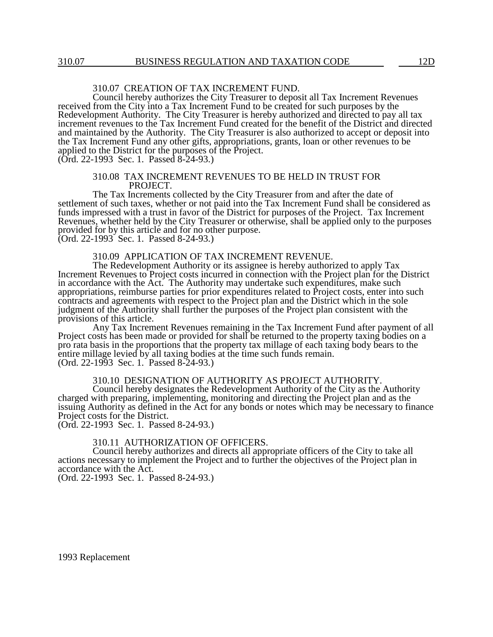# 310.07 CREATION OF TAX INCREMENT FUND.

Council hereby authorizes the City Treasurer to deposit all Tax Increment Revenues received from the City into a Tax Increment Fund to be created for such purposes by the Redevelopment Authority. The City Treasurer is hereby authorized and directed to pay all tax increment revenues to the Tax Increment Fund created for the benefit of the District and directed and maintained by the Authority. The City Treasurer is also authorized to accept or deposit into the Tax Increment Fund any other gifts, appropriations, grants, loan or other revenues to be applied to the District for the purposes of the Project.

(Ord. 22-1993 Sec. 1. Passed 8-24-93.)

#### 310.08 TAX INCREMENT REVENUES TO BE HELD IN TRUST FOR PROJECT.

The Tax Increments collected by the City Treasurer from and after the date of settlement of such taxes, whether or not paid into the Tax Increment Fund shall be considered as funds impressed with a trust in favor of the District for purposes of the Project. Tax Increment Revenues, whether held by the City Treasurer or otherwise, shall be applied only to the purposes provided for by this article and for no other purpose.

(Ord. 22-1993 Sec. 1. Passed 8-24-93.)

310.09 APPLICATION OF TAX INCREMENT REVENUE.

The Redevelopment Authority or its assignee is hereby authorized to apply Tax Increment Revenues to Project costs incurred in connection with the Project plan for the District in accordance with the Act. The Authority may undertake such expenditures, make such appropriations, reimburse parties for prior expenditures related to Project costs, enter into such contracts and agreements with respect to the Project plan and the District which in the sole judgment of the Authority shall further the purposes of the Project plan consistent with the provisions of this article.

Any Tax Increment Revenues remaining in the Tax Increment Fund after payment of all Project costs has been made or provided for shall be returned to the property taxing bodies on a pro rata basis in the proportions that the property tax millage of each taxing body bears to the entire millage levied by all taxing bodies at the time such funds remain. (Ord. 22-1993 Sec. 1. Passed 8-24-93.)

310.10 DESIGNATION OF AUTHORITY AS PROJECT AUTHORITY.

Council hereby designates the Redevelopment Authority of the City as the Authority charged with preparing, implementing, monitoring and directing the Project plan and as the issuing Authority as defined in the Act for any bonds or notes which may be necessary to finance Project costs for the District.

(Ord. 22-1993 Sec. 1. Passed 8-24-93.)

## 310.11 AUTHORIZATION OF OFFICERS.

Council hereby authorizes and directs all appropriate officers of the City to take all actions necessary to implement the Project and to further the objectives of the Project plan in accordance with the Act. (Ord. 22-1993 Sec. 1. Passed 8-24-93.)